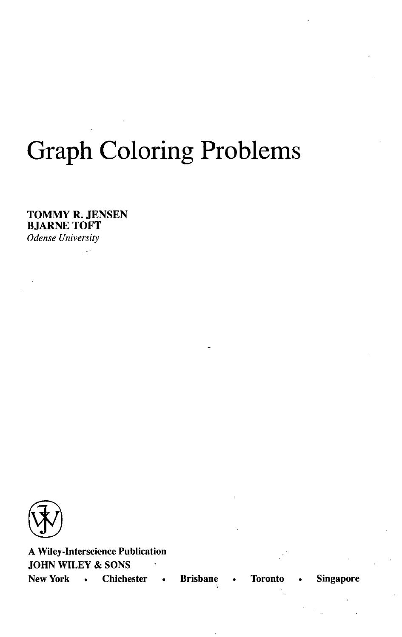## Graph Coloring Problems

TOMMY R. JENSEN BJARNE TOFT *Odense University*



**A Wiley-Interscience Publication JOHN WILEY & SONS New York • Chichester • Brisbane • Toronto • Singapore**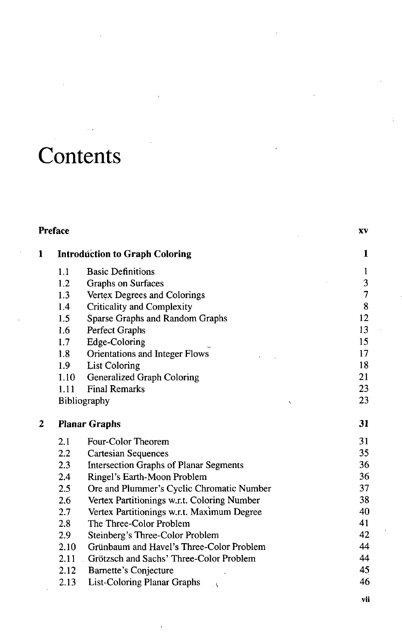## **Contents**

| <b>Preface</b> |      | XV                                            |                |
|----------------|------|-----------------------------------------------|----------------|
| 1              |      | <b>Introduction to Graph Coloring</b>         |                |
|                | 1.1  | <b>Basic Definitions</b>                      | $\mathbf{1}$   |
|                | 1.2  | Graphs on Surfaces                            | 3              |
|                | 1.3  | Vertex Degrees and Colorings                  | $\overline{7}$ |
|                | 1.4  | <b>Criticality and Complexity</b>             | 8              |
|                | 1.5  | Sparse Graphs and Random Graphs               | 12             |
|                | 1.6  | Perfect Graphs                                | 13             |
|                | 1.7  | Edge-Coloring                                 | 15             |
|                | 1.8  | Orientations and Integer Flows                | 17             |
|                | 1.9  | <b>List Coloring</b>                          | 18             |
|                | 1.10 | Generalized Graph Coloring                    | 21             |
|                | 1.11 | <b>Final Remarks</b>                          | 23             |
|                |      | Bibliography                                  | 23             |
| 2              |      | <b>Planar Graphs</b>                          | 31             |
|                | 2.1  | Four-Color Theorem                            | 31             |
|                | 2.2  | <b>Cartesian Sequences</b>                    | 35             |
|                | 2.3  | <b>Intersection Graphs of Planar Segments</b> | 36             |
|                | 2.4  | Ringel's Earth-Moon Problem                   | 36             |
|                | 2.5  | Ore and Plummer's Cyclic Chromatic Number     | 37             |
|                | 2.6  | Vertex Partitionings w.r.t. Coloring Number   | 38             |
|                | 2.7  | Vertex Partitionings w.r.t. Maximum Degree    | 40             |
|                | 2.8  | The Three-Color Problem                       | 41             |
|                | 2.9  | Steinberg's Three-Color Problem               | 42             |
|                | 2.10 | Grünbaum and Havel's Three-Color Problem      | 44             |
|                | 2.11 | Grötzsch and Sachs' Three-Color Problem       | 44             |
|                | 2.12 | <b>Barnette's Conjecture</b>                  | 45             |
|                | 2.13 | <b>List-Coloring Planar Graphs</b><br>$\cdot$ | 46             |
|                |      |                                               |                |

vii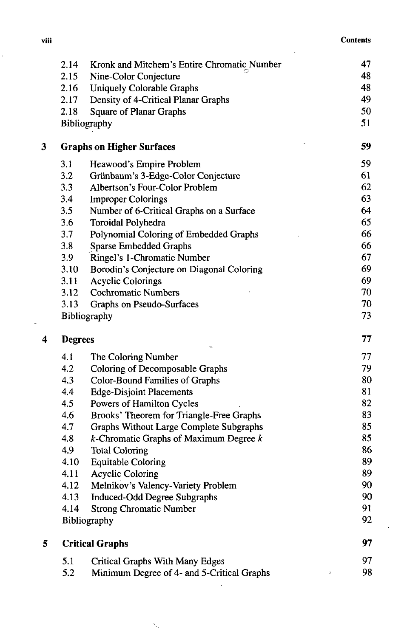ï

l,

|   | 2.14           | Kronk and Mitchem's Entire Chromatic Number                                   | 47 |
|---|----------------|-------------------------------------------------------------------------------|----|
|   | 2.15           | Nine-Color Conjecture                                                         | 48 |
|   | 2.16           | <b>Uniquely Colorable Graphs</b>                                              | 48 |
|   | 2.17           | Density of 4-Critical Planar Graphs                                           | 49 |
|   | 2.18           | <b>Square of Planar Graphs</b>                                                | 50 |
|   |                | Bibliography                                                                  | 51 |
| 3 |                | <b>Graphs on Higher Surfaces</b>                                              | 59 |
|   | 3.1            | Heawood's Empire Problem                                                      | 59 |
|   | 3.2            | Grünbaum's 3-Edge-Color Conjecture                                            | 61 |
|   | 3.3            | Albertson's Four-Color Problem                                                | 62 |
|   | 3.4            | <b>Improper Colorings</b>                                                     | 63 |
|   | 3.5            | Number of 6-Critical Graphs on a Surface                                      | 64 |
|   | 3.6            | Toroidal Polyhedra                                                            | 65 |
|   | 3.7            | Polynomial Coloring of Embedded Graphs                                        | 66 |
|   | 3.8            | Sparse Embedded Graphs                                                        | 66 |
|   | 3.9            | Ringel's 1-Chromatic Number                                                   | 67 |
|   | 3.10           | Borodin's Conjecture on Diagonal Coloring                                     | 69 |
|   | 3.11           | <b>Acyclic Colorings</b>                                                      | 69 |
|   | 3.12           | <b>Cochromatic Numbers</b>                                                    | 70 |
|   | 3.13           | Graphs on Pseudo-Surfaces                                                     | 70 |
|   |                | Bibliography                                                                  | 73 |
| 4 | <b>Degrees</b> |                                                                               | 77 |
|   | 4.1            | The Coloring Number                                                           | 77 |
|   |                |                                                                               |    |
|   | 4.2            | Coloring of Decomposable Graphs                                               | 79 |
|   | 4.3            | Color-Bound Families of Graphs                                                | 80 |
|   | 4.4            | <b>Edge-Disjoint Placements</b>                                               | 81 |
|   | 4.5            | Powers of Hamilton Cycles                                                     | 82 |
|   | 4.6            | Brooks' Theorem for Triangle-Free Graphs                                      | 83 |
|   | 4.7            | Graphs Without Large Complete Subgraphs                                       | 85 |
|   | 4.8            | $k$ -Chromatic Graphs of Maximum Degree $k$                                   | 85 |
|   | 4.9            | <b>Total Coloring</b>                                                         | 86 |
|   | 4.10           | <b>Equitable Coloring</b>                                                     | 89 |
|   | 4.11           | <b>Acyclic Coloring</b>                                                       | 89 |
|   | 4.12           | Melnikov's Valency-Variety Problem                                            | 90 |
|   | 4.13           | <b>Induced-Odd Degree Subgraphs</b>                                           | 90 |
|   | 4.14           | <b>Strong Chromatic Number</b>                                                | 91 |
|   |                | Bibliography                                                                  | 92 |
| 5 |                | <b>Critical Graphs</b>                                                        | 97 |
|   | 5.1            |                                                                               | 97 |
|   | 5.2            | Critical Graphs With Many Edges<br>Minimum Degree of 4- and 5-Critical Graphs | 98 |

 $\ddot{\phantom{0}}$ 

 $\overline{\phantom{a}}$ 

 $\overline{\phantom{a}}$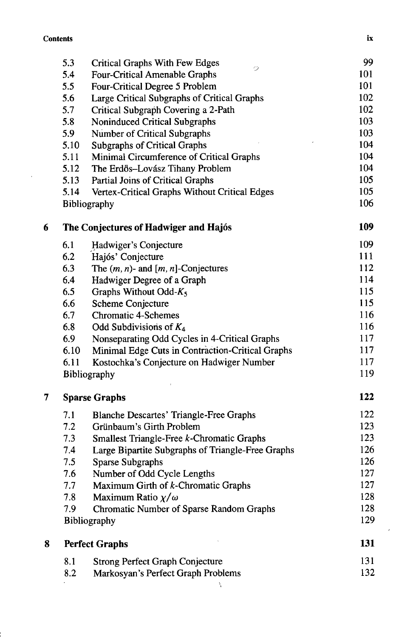$\bar{z}$ 

|   | 5.3  | <b>Critical Graphs With Few Edges</b>             | 99  |
|---|------|---------------------------------------------------|-----|
|   | 5.4  | 2<br><b>Four-Critical Amenable Graphs</b>         | 101 |
|   | 5.5  | Four-Critical Degree 5 Problem                    | 101 |
|   | 5.6  | Large Critical Subgraphs of Critical Graphs       | 102 |
|   | 5.7  | Critical Subgraph Covering a 2-Path               | 102 |
|   | 5.8  | Noninduced Critical Subgraphs                     | 103 |
|   | 5.9  | Number of Critical Subgraphs                      | 103 |
|   | 5.10 | <b>Subgraphs of Critical Graphs</b>               | 104 |
|   | 5.11 | Minimal Circumference of Critical Graphs          | 104 |
|   | 5.12 | The Erdös-Lovász Tihany Problem                   | 104 |
|   | 5.13 | Partial Joins of Critical Graphs                  | 105 |
|   | 5.14 | Vertex-Critical Graphs Without Critical Edges     | 105 |
|   |      | Bibliography                                      | 106 |
| 6 |      | The Conjectures of Hadwiger and Hajós             | 109 |
|   | 6.1  | Hadwiger's Conjecture                             | 109 |
|   | 6.2  | Hajós' Conjecture                                 | 111 |
|   | 6.3  | The $(m, n)$ - and $[m, n]$ -Conjectures          | 112 |
|   | 6.4  | Hadwiger Degree of a Graph                        | 114 |
|   | 6.5  | Graphs Without Odd- $K_5$                         | 115 |
|   | 6.6  | Scheme Conjecture                                 | 115 |
|   | 6.7  | <b>Chromatic 4-Schemes</b>                        | 116 |
|   | 6.8  | Odd Subdivisions of $K_4$                         | 116 |
|   | 6.9  | Nonseparating Odd Cycles in 4-Critical Graphs     | 117 |
|   | 6.10 | Minimal Edge Cuts in Contraction-Critical Graphs  | 117 |
|   | 6.11 | Kostochka's Conjecture on Hadwiger Number         | 117 |
|   |      | Bibliography                                      | 119 |
| 7 |      | <b>Sparse Graphs</b>                              | 122 |
|   | 7.1  | <b>Blanche Descartes' Triangle-Free Graphs</b>    | 122 |
|   | 7.2  | Grünbaum's Girth Problem                          | 123 |
|   | 7.3  | Smallest Triangle-Free k-Chromatic Graphs         | 123 |
|   | 7.4  | Large Bipartite Subgraphs of Triangle-Free Graphs | 126 |
|   | 7.5  | Sparse Subgraphs                                  | 126 |
|   | 7.6  | Number of Odd Cycle Lengths                       | 127 |
|   | 7.7  | Maximum Girth of k-Chromatic Graphs               | 127 |
|   | 7.8  | Maximum Ratio $\chi/\omega$                       | 128 |
|   | 7.9  | Chromatic Number of Sparse Random Graphs          | 128 |
|   |      | <b>Bibliography</b>                               | 129 |
| 8 |      | <b>Perfect Graphs</b>                             | 131 |
|   | 8.1  | <b>Strong Perfect Graph Conjecture</b>            | 131 |
|   | 8.2  | Markosyan's Perfect Graph Problems                | 132 |
|   |      |                                                   |     |

 $\bar{I}$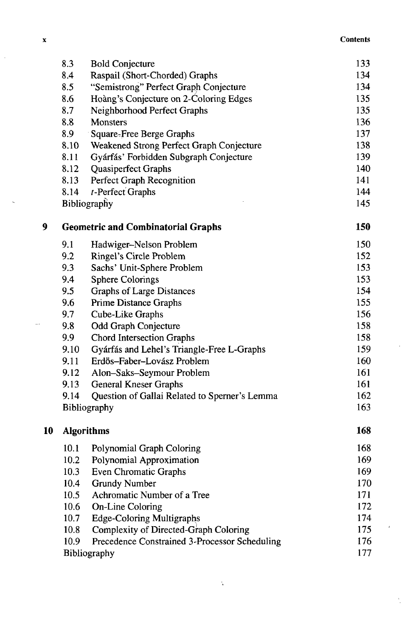## x Contents and the contents of the contents of the contents of the contents of the contents of the contents of the contents of the contents of the contents of the contents of the contents of the contents of the contents of

ï

ï

Ŷ,

|    | 8.3                                       | <b>Bold Conjecture</b>                        | 133 |
|----|-------------------------------------------|-----------------------------------------------|-----|
|    | 8.4                                       | Raspail (Short-Chorded) Graphs                | 134 |
|    | 8.5                                       | "Semistrong" Perfect Graph Conjecture         | 134 |
|    | 8.6                                       | Hoàng's Conjecture on 2-Coloring Edges        | 135 |
|    | 8.7                                       | Neighborhood Perfect Graphs                   | 135 |
|    | 8.8                                       | <b>Monsters</b>                               | 136 |
|    | 8.9                                       | Square-Free Berge Graphs                      | 137 |
|    | 8.10                                      | Weakened Strong Perfect Graph Conjecture      | 138 |
|    | 8.11                                      | Gyárfás' Forbidden Subgraph Conjecture        | 139 |
|    | 8.12                                      | Quasiperfect Graphs                           | 140 |
|    | 8.13                                      | Perfect Graph Recognition                     | 141 |
|    | 8.14                                      | t-Perfect Graphs                              | 144 |
|    |                                           | Bibliography                                  | 145 |
| 9  | <b>Geometric and Combinatorial Graphs</b> |                                               | 150 |
|    | 9.1                                       | Hadwiger-Nelson Problem                       | 150 |
|    | 9.2                                       | Ringel's Circle Problem                       | 152 |
|    | 9.3                                       | Sachs' Unit-Sphere Problem                    | 153 |
|    | 9.4                                       | <b>Sphere Colorings</b>                       | 153 |
|    | 9.5                                       | <b>Graphs of Large Distances</b>              | 154 |
|    | 9.6                                       | Prime Distance Graphs                         | 155 |
|    | 9.7                                       | Cube-Like Graphs                              | 156 |
|    | 9.8                                       | Odd Graph Conjecture                          | 158 |
|    | 9.9                                       | Chord Intersection Graphs                     | 158 |
|    | 9.10                                      | Gyárfás and Lehel's Triangle-Free L-Graphs    | 159 |
|    | 9.11                                      | Erdős-Faber-Lovász Problem                    | 160 |
|    | 9.12                                      | Alon-Saks-Seymour Problem                     | 161 |
|    | 9.13                                      | <b>General Kneser Graphs</b>                  | 161 |
|    | 9.14                                      | Question of Gallai Related to Sperner's Lemma | 162 |
|    |                                           | Bibliography                                  | 163 |
| 10 |                                           | <b>Algorithms</b>                             | 168 |
|    | 10.1                                      | Polynomial Graph Coloring                     | 168 |
|    | 10.2                                      | Polynomial Approximation                      | 169 |
|    | 10.3                                      | Even Chromatic Graphs                         | 169 |
|    | 10.4                                      | Grundy Number                                 | 170 |
|    | 10.5                                      | Achromatic Number of a Tree                   | 171 |
|    | 10.6                                      | On-Line Coloring                              | 172 |
|    | 10.7                                      | <b>Edge-Coloring Multigraphs</b>              | 174 |
|    | 10.8                                      | Complexity of Directed-Graph Coloring         | 175 |
|    | 10.9                                      | Precedence Constrained 3-Processor Scheduling | 176 |
|    |                                           | Bibliography                                  | 177 |

 $\dot{\bar{\zeta}}$ 

 $\bar{z}$ 

 $\ddot{\phantom{a}}$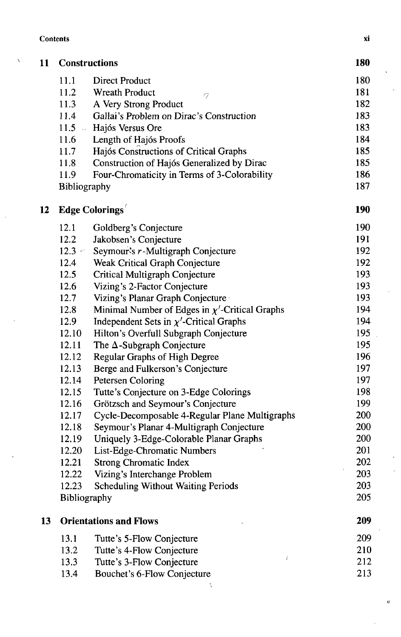| Xİ |
|----|
|    |

 $\lambda$ 

| 11 |                        | <b>Constructions</b>                                | 180 |
|----|------------------------|-----------------------------------------------------|-----|
|    | 11.1                   | <b>Direct Product</b>                               | 180 |
|    | 11.2                   | <b>Wreath Product</b><br>9                          | 181 |
|    | 11.3                   | A Very Strong Product                               | 182 |
|    | 11.4                   | Gallai's Problem on Dirac's Construction            | 183 |
|    | 11.5<br>$\sim 10^{-1}$ | Hajós Versus Ore                                    | 183 |
|    | 11.6                   | Length of Hajós Proofs                              | 184 |
|    | 11.7                   | Hajós Constructions of Critical Graphs              | 185 |
|    | 11.8                   | Construction of Hajós Generalized by Dirac          | 185 |
|    | 11.9                   | Four-Chromaticity in Terms of 3-Colorability        | 186 |
|    | Bibliography           |                                                     | 187 |
| 12 |                        | <b>Edge Colorings</b>                               | 190 |
|    | 12.1                   | Goldberg's Conjecture                               | 190 |
|    | 12.2                   | Jakobsen's Conjecture                               | 191 |
|    | $12.3 -$               | Seymour's r-Multigraph Conjecture                   | 192 |
|    | 12.4                   | Weak Critical Graph Conjecture                      | 192 |
|    | 12.5                   | Critical Multigraph Conjecture                      | 193 |
|    | 12.6                   | Vizing's 2-Factor Conjecture                        | 193 |
|    | 12.7                   | Vizing's Planar Graph Conjecture                    | 193 |
|    | 12.8                   | Minimal Number of Edges in $\chi'$ -Critical Graphs | 194 |
|    | 12.9                   | Independent Sets in $\chi'$ -Critical Graphs        | 194 |
|    | 12.10                  | Hilton's Overfull Subgraph Conjecture               | 195 |
|    | 12.11                  | The $\Delta$ -Subgraph Conjecture                   | 195 |
|    | 12.12                  | Regular Graphs of High Degree                       | 196 |
|    | 12.13                  | Berge and Fulkerson's Conjecture                    | 197 |
|    | 12.14                  | Petersen Coloring                                   | 197 |
|    | 12.15                  | Tutte's Conjecture on 3-Edge Colorings              | 198 |
|    | 12.16                  | Grötzsch and Seymour's Conjecture                   | 199 |
|    | 12.17                  | Cycle-Decomposable 4-Regular Plane Multigraphs      | 200 |
|    | 12.18                  | Seymour's Planar 4-Multigraph Conjecture            | 200 |
|    | 12.19                  | Uniquely 3-Edge-Colorable Planar Graphs             | 200 |
|    | 12.20                  | List-Edge-Chromatic Numbers                         | 201 |
|    | 12.21                  | <b>Strong Chromatic Index</b>                       | 202 |
|    | 12.22                  | Vizing's Interchange Problem                        | 203 |
|    | 12.23                  | <b>Scheduling Without Waiting Periods</b>           | 203 |
|    | Bibliography           |                                                     | 205 |
| 13 |                        | <b>Orientations and Flows</b>                       | 209 |
|    | 13.1                   | Tutte's 5-Flow Conjecture                           | 209 |
|    | 13.2                   | Tutte's 4-Flow Conjecture                           | 210 |
|    | 13.3                   | Ť.<br>Tutte's 3-Flow Conjecture                     | 212 |
|    | 13.4                   | Bouchet's 6-Flow Conjecture                         | 213 |

Ç

 $\overline{a}$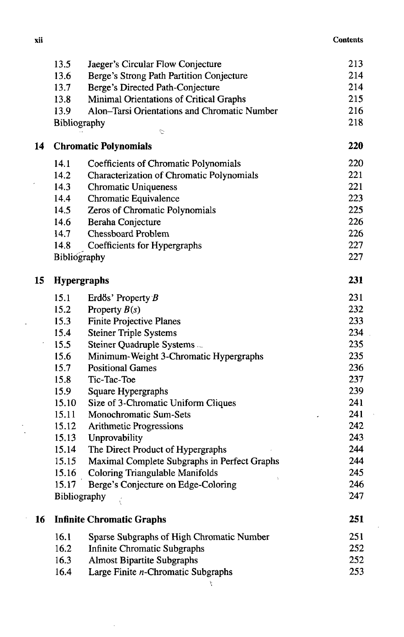| xii | <b>Contents</b> |
|-----|-----------------|
|     |                 |

|    | 13.5         | Jaeger's Circular Flow Conjecture                | 213 |
|----|--------------|--------------------------------------------------|-----|
|    | 13.6         | Berge's Strong Path Partition Conjecture         | 214 |
|    | 13.7         | Berge's Directed Path-Conjecture                 | 214 |
|    | 13.8         | Minimal Orientations of Critical Graphs          | 215 |
|    | 13.9         | Alon-Tarsi Orientations and Chromatic Number     | 216 |
|    | Bibliography | Ú                                                | 218 |
| 14 |              | <b>Chromatic Polynomials</b>                     | 220 |
|    | 14.1         | <b>Coefficients of Chromatic Polynomials</b>     | 220 |
|    | 14.2         | <b>Characterization of Chromatic Polynomials</b> | 221 |
|    | 14.3         | <b>Chromatic Uniqueness</b>                      | 221 |
|    | 14.4         | Chromatic Equivalence                            | 223 |
|    | 14.5         | Zeros of Chromatic Polynomials                   | 225 |
|    | 14.6         | Beraha Conjecture                                | 226 |
|    | 14.7         | <b>Chessboard Problem</b>                        | 226 |
|    | 14.8         | Coefficients for Hypergraphs                     | 227 |
|    | Bibliography |                                                  | 227 |
| 15 |              | <b>Hypergraphs</b>                               | 231 |
|    | 15.1         | Erdős' Property B                                | 231 |
|    | 15.2         | Property $B(s)$                                  | 232 |
|    | 15.3         | <b>Finite Projective Planes</b>                  | 233 |
|    | 15.4         | <b>Steiner Triple Systems</b>                    | 234 |
|    | 15.5         | Steiner Quadruple Systems.                       | 235 |
|    | 15.6         | Minimum-Weight 3-Chromatic Hypergraphs           | 235 |
|    | 15.7         | <b>Positional Games</b>                          | 236 |
|    | 15.8         | Tic-Tac-Toe                                      | 237 |
|    | 15.9         | Square Hypergraphs                               | 239 |
|    | 15.10        | Size of 3-Chromatic Uniform Cliques              | 241 |
|    | 15.11        | Monochromatic Sum-Sets                           | 241 |
|    | 15.12        | <b>Arithmetic Progressions</b>                   | 242 |
|    | 15.13        | Unprovability                                    | 243 |
|    | 15.14        | The Direct Product of Hypergraphs                | 244 |
|    | 15.15        | Maximal Complete Subgraphs in Perfect Graphs     | 244 |
|    | 15.16        | Coloring Triangulable Manifolds                  | 245 |
|    | 15.17        | Berge's Conjecture on Edge-Coloring              | 246 |
|    |              | Bibliography                                     | 247 |
| 16 |              | <b>Infinite Chromatic Graphs</b>                 | 251 |
|    | 16.1         | Sparse Subgraphs of High Chromatic Number        | 251 |
|    | 16.2         | <b>Infinite Chromatic Subgraphs</b>              | 252 |
|    | 16.3         | <b>Almost Bipartite Subgraphs</b>                | 252 |
|    | 16.4         | Large Finite n-Chromatic Subgraphs               | 253 |
|    |              |                                                  |     |